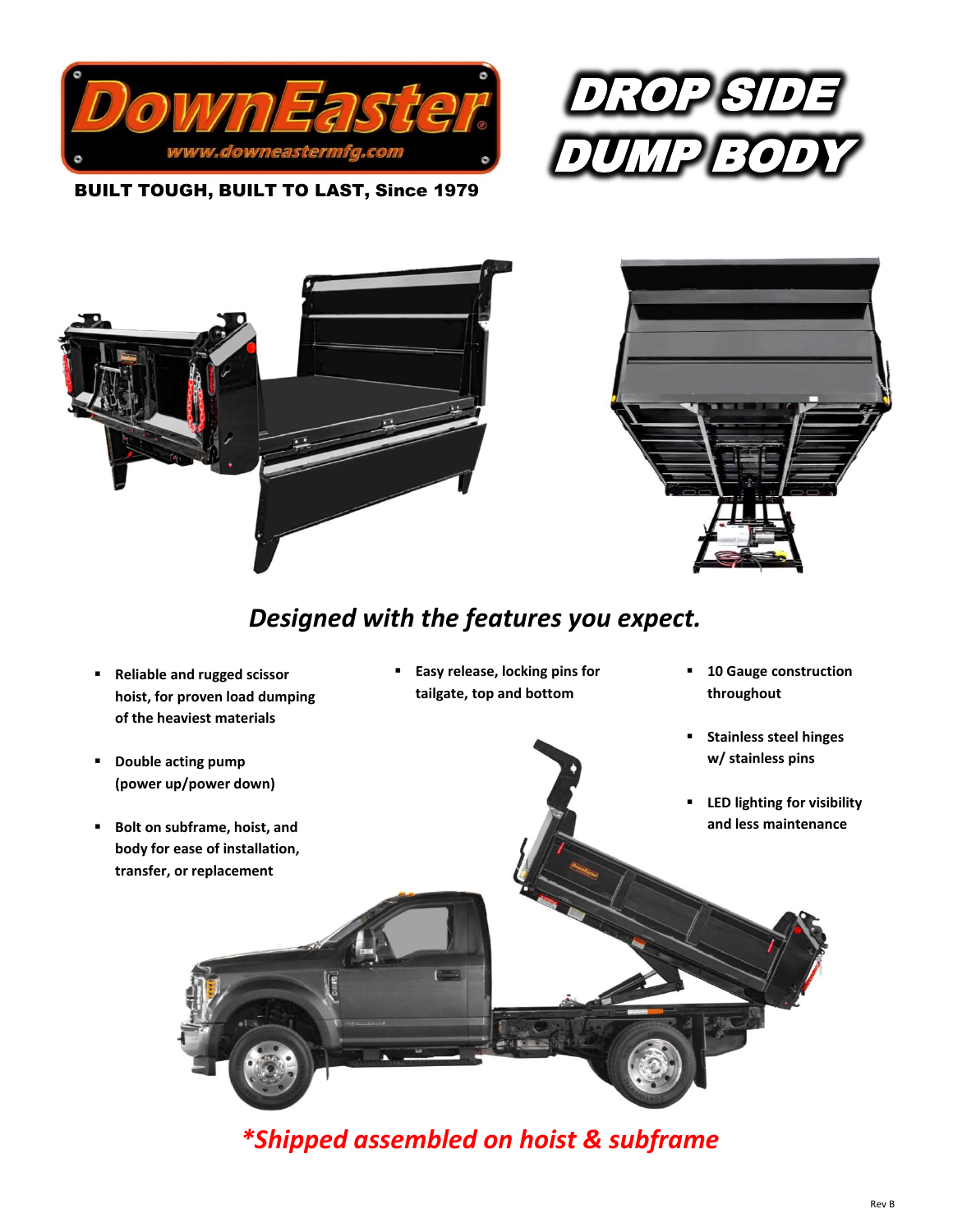



 BUILT TOUGH, BUILT TO LAST, Since 1979



# *Designed with the features you expect.*

- **Reliable and rugged scissor hoist, for proven load dumping of the heaviest materials**
- **Double acting pump (power up/power down)**
- **Bolt on subframe, hoist, and body for ease of installation, transfer, or replacement**
- **Easy release, locking pins for tailgate, top and bottom**
- **10 Gauge construction throughout**
- **Stainless steel hinges w/ stainless pins**
- **LED lighting for visibility and less maintenance**